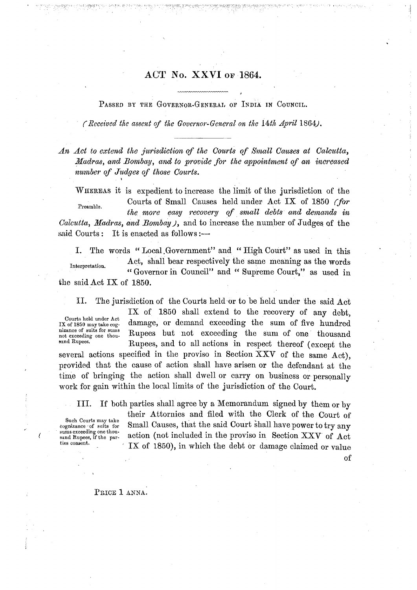PASSED BY THE GOVERNOR-GENERAL OF INDIA IN COUNCIL.

*(Received the assent of the Governor-General on the 14th April* 1864).

An Act to extend the jurisdiction of the Courts of Small Causes at Calcutta, *Madras, and Bombay, and to provide for the appointment of an increased number of Judges of those Courts.* 

WHEREAS it is expedient to increase the limit of the jurisdiction of the Preamble. Courts of Small Causes held under Act IX of 1850 *(for the more easy recovery of small debts and demands* **in**  *Calcutta, Madras, and Bombay)*, and to increase the number of Judges of the said Courts : It is enacted as follows :-

I. The words " Local ,Government" and " High Court" as used in this Interpretation. Act, shall bear respectively the same meaning as the words " Governor in Council" and " Supreme Court," as used in the said Act IX of 1850.

11. The jurisdiction of the Courts held or to be held under the said Act

Courts held under Act<br>IX of 1850 may take cognizance of suits for sums<br>not exceeding one thou-

IX of 1850 shall extend to the recovery of any debt, damage, or demand exceeding the sum of five hundred Rupees but not exceeding the sum of one thousand sand Rupees. Rupees, and to all actions in respect thereof (except the

several actions specified in the proviso in Section XXV of the same Act), provided that the cause of action shall have arisen or the defendant at the time of bringing the action shall dwell or carry on business or personally work for gain within the local limits of the jurisdiction of the Court.

111. If both parties shall agree by a Memorandum signed by them or by

Such Courts may take<br>cognizance of suits for<br>sums exceeding one thou-<br>sand Rupees, if the par-

their Attornies and filed with the Clerk of the Court of Small Causes, that the said Court shall have power to try any sums exceeding one thou.<br>
sand Rupees, if the par-<br>
ties consent. IX of 1850), in which the debt or damage claimed or value

of

#### PRICE 1 ANNA.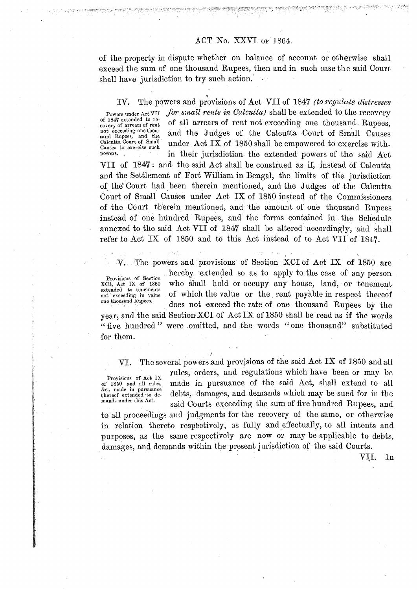of the property in dispute whether on balance of account or otherwise shall exceed the sum of one thousand Eupees, then and in such case the said Court shall have jurisdiction to try such action.

IV. The powers and provisions of Act VII of 1847 *(to regulate distresses* Powers under Act VII for small rents in Calcutta) shall be extended to the recovery of 1847 extended to recovery of arrears of rent of all arrears of rent not exceeding one thousand Rupees, of all arrears of rent not exceeding one thousand Rupees. not exceeding one thou-<br>sand Rupees, and the not exceeding one thou.<br>
Sand Rupees, and the Judges of the Calcutta Court of Small Causes<br>
Calcutta Court of Small be empowered to exercise with-<br>
Causes to exercise such under Act IX of 1850 shall be empowered to exercis in their jurisdiction the extended powers of the said Act VII of 1847: and the said Act shall be construed as if, instead of Calcutta and the Settlement of Port William in Bengal, the limits of the jurisdiction of the Court had been therein mentioned, and the Judges of the Calcutta Court of Small Causes under Act IX of 1850 instead of the Commissioners of the Court therein mentioned, and the amount of one thousand Rupees instead of one hundred Rupees, and the forms contained in the Schedule annexed to the said Act VII of 1847 shall be altered accordingly, and shall refer to Act IX of 1850 and to this Act instead of to Act VII of 1947.

V. The powers and provisions of Section XCI of Act IX of 1850 are

extended to tenements<br>not exceeding in value

Provisions of Section hereby extended so as to apply to the case of any person XCI, Act IX of 1850 who shall hold or occupy any house. land. or tenement who shall hold or occupy any house, land, or tenement not exceeding in value of which the value or the rent payable in respect thereof one thousand Rupees.<br>does not exceed the rate of one thousand Rupees by the

year, and the said Section XCI of Act IX of 1850 shall be read as if the words " five hundred " were omitted, and the words "one thousand" substituted for them.

**I** 

Provisions of Act IX<br>of 1850 and all rules, &., made **in** pursuance

VI. The several powers and provisions of the said Act IX of 1850 and all rules, orders, and regulations which have been or may be made in pursuance of the said Act, shall extend to all ext, made in pursuance.<br>thereof extended to de-<br>mands under this Act. said Courts exceeding the sum of five hundred Rupees, and to all proceedings and judgments for the recovery of the same, or otherwise

in relation thereto respectively, as fully and effectually, to all intents and purposes, as the same respectively are now or may be applicable to debts, damages, and demands within the present jurisdiction of the said Courts.

VXI. In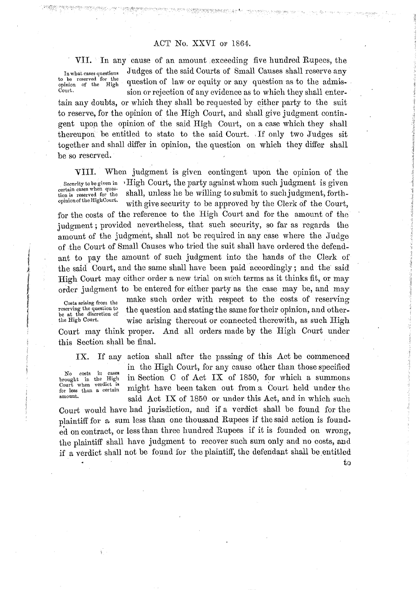to be reserved for the<br>opinion of the High

VII. In any cause of an amount exceeding five hundred Rupees, the In what cases questions Judges of the said Courts of Small Causes shall reserve any to be reserved for the question of law or equity or any question as to the admiss-<br>court,  $\frac{1}{2}$ sion or rejection of any evidence as to which they shall enter-

tain any doubts, or which they shall be requested by either party to the suit to reserve, for the opinion of the High Court, and shall give judgment contingent upon the opinion of the said High Court, on a case which they shall thereupon be entitled to statc to the said Court. .If only two Judges sit together and shall differ in opinion, the question on which they differ shall be so reserved.

VIII. When judgment is given contingent upon the opinion of the Security to be given in **1 I igh Court, the party against whom such judgment** is given certain cases when ques-<br>tion is reserved for the shall, unless he be willing to submit to such judgment, forthtertain cases when years.<br>
tion is reserved for the shall, unless he be willing to submit to such judgment, forth-<br>
opinion of the flaghCourt. with give security to be approved by the Clerk of the Court,

for the costs of the reference to the High Court and for the amount of the judgment; provided nevertheless, that such security, so far as regards the amount of the judgment, shall not be required in any case where the Judge of the Court of Small Causes who tried the suit shall have ordered the defend- , ant to pay the amount of such judgment into the hands of the Clerk of the said Court, and the same shall have been paid accordingly; and the said High Court may cither order a new trial on such terms as it thinks fit, or may order judgment to be entered for either party as the case may be, and may

reserving the question to<br>be at the discretion of<br>the High Court.

Costs arising from the make such order with respect to the costs of reserving the question and stating the same for their opinion, and otherwise arising thereout or connected therewith, as such High

Court may think proper. And all orders made by the High Court under this Section shall be final.

Court when verdict is<br>for less than a certain

IX. If any action shall after the passing of this Act be commenced No costs in cases in the High Court, for any cause other than those specified<br>brought in the High in Section C of Act IX of 1850, for which a summons in Section C of Act IX of 1850, for which a summons Fourt when vertice is might have been taken out from a Court held under the for less than a certain might have been taken out from a Court held under the said Act IX of 1850 or under this Act, and in which such

t **0** 

Court would have had jurisdiction, and if a verdict shall be found for the plaintiff for a sum less than one thousand Rupees if the said action is founded on contract, or less than three hundred Rupees if it is founded on wrong, the plaintiff shall have judgment to recover such sum only and no costs, and if a verdict shall not be found for the plaintiff, the defendant shall be entitled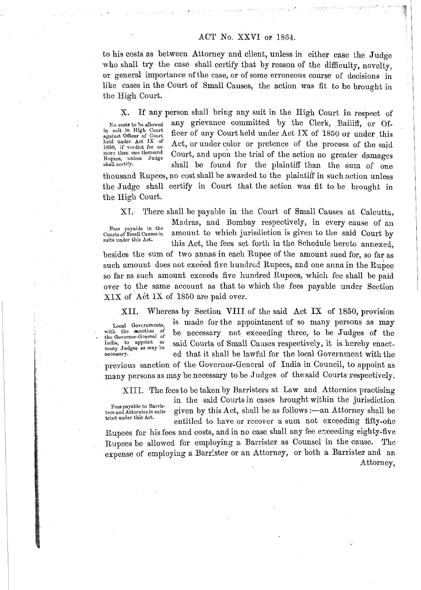to his costs as between Attorney and client, unless in either case the Judge who shall try the case shall certify that by reason of the difficulty, novelty, or general importance of the case, or of some erroneous course of decisions in like cases in the Court of Small Causes, the action was fit to **be** brought in the High Court.

in suit in High Court<br>against Officer of Court

X. If any person shall bring any suit in the High Court in respect of No costs to be allowed any grievance committed by the Clerk, Bailiff, or Ofin suit in High Court<br>
against Officer of Court<br>
held under Act IX of 1850 or under this<br>
held under Act IX of 1850 or under this<br>
resolution and the process of the said 1850, if verdict for no Act, or under color or pretence of the process of the said<br>
1850, if verdict for no<br>
1850, if verdict for no lnow and action of Rupees, unless Judge<br>
1850, if verdict for no lnore action of the acti shall be found for the plaintiff than the sum of one

thousand Rupees, no cost shall be awarded to the plaintiff in such action unless the Judge shall certify in Court that the action was fit to be brought in the High Court.

XI. There shall be payable in the Court of Small Causes at Calcutta,

Fees payable in the<br>Courts of Small Causes in

Madras, and Bombay respectively, in every cause of an rees payable in the amount to which jurisdiction is given to the said Court by<br>Suits under this Act. this Act, the fees set forth in the Schedule hereto annexed. besides the sum of two annas in each Rupee of the amount sued for, so far as such amount does not exceed five hundred Rupees, and one anna in the Rupee so far as such amount exceeds five hundred Rupecs, which fee shall be paid over to the same account as that to which the fees payable under Section  $XIX$  of Act IX of 1850 are paid over.

XII. Whereas by Section VIII of the said Act IX of 1850, provision

Local Governments, is made for the appointment of so many persons as may with the sanction of the necessary not exceeding three to be Indees of the with the sanction of be necessary not exceeding three, to be Judges of the India, to appoint as said Courts of Small Causes respectively, it is hereby enact. India, to appoint as said Courts of Small Causes respectively, it is hereby enact-<br>many Judges as may be ed that it shall be lawful for the local Government with the ed that it shall be lawful for the local Government with the

previous sanction of the Governor-General of India in Council, to appoint as many persons as may be necessary to be Judges of the said Courts respeotively.

XIII. The fees to be taken by Barristers at Law and Attornies practising

Fees payable to Barris-<br>ters and Attornies in suits given by this Act, shall be as follows :—an Attorney shall be these payable to barries:<br>ters and Attorney shall be  $\text{Act}$ , shall be as follows :—an Attorney shall be tried under this Act. entitled to have or recover a sum not exceeding fifty-one

Rupees for his fees and costs, and in no case shall any fee exceeding eighty-five Rupees be allowed for employing a Barrister as Counsel in the cause. The expense of employing a Barrister or an Attorney, or both a Barrister and an Attorney,